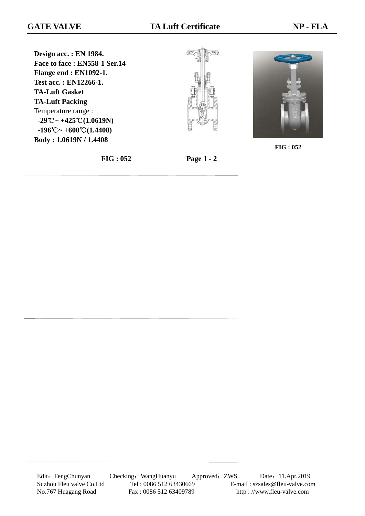**Design acc. : EN 1984. Face to face : EN558-1 Ser.14 Flange end : EN1092-1. Test acc. : EN12266-1. TA-Luft Gasket TA-Luft Packing** Temperature range : **-29**℃**~ +425**℃**(1.0619N) -196**℃**~ +600**℃**(1.4408) Body : 1.0619N / 1.4408**





**FIG : 052**

**FIG : 052 Page 1 - 2**

Edit: FengChunyan Checking: WangHuanyu Approved: ZWS Date: 11.Apr.2019 Suzhou Fleu valve Co.Ltd Tel : 0086 512 63430669 E-mail : szsales@fleu-valve.com<br>No.767 Huagang Road Fax : 0086 512 63409789 http : //www.fleu-valve.com No.767 Huagang Road Fax : 0086 512 63409789 http : //www.fleu-valve.com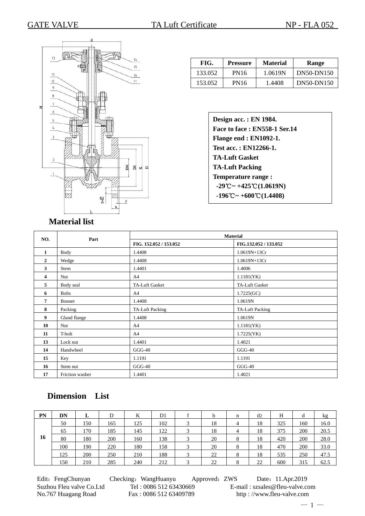

| FIG.<br><b>Pressure</b> |      | <b>Material</b> | Range      |  |  |  |
|-------------------------|------|-----------------|------------|--|--|--|
| 133.052                 | PN16 | 1.0619N         | DN50-DN150 |  |  |  |
| 153.052                 | PN16 | 1.4408          | DN50-DN150 |  |  |  |

## **Material list**

| NO.            |                 |                        | <b>Material</b>       |  |  |
|----------------|-----------------|------------------------|-----------------------|--|--|
|                | Part            | FIG. 152.052 / 153.052 | FIG.132.052 / 133.052 |  |  |
| $\mathbf{1}$   | Body            | 1.4408                 | 1.0619N+13Cr          |  |  |
| $\overline{2}$ | Wedge           | 1.4408                 | 1.0619N+13Cr          |  |  |
| 3              | Stem            | 1.4401                 | 1.4006                |  |  |
| 4              | Nut             | A4                     | 1.1181(YK)            |  |  |
| 5              | Body seal       | <b>TA-Luft Gasket</b>  | <b>TA-Luft Gasket</b> |  |  |
| 6              | <b>Bolts</b>    | A4                     | 1.7225(GC)            |  |  |
| 7              | Bonnet          | 1.4408                 | 1.0619N               |  |  |
| 8              | Packing         | TA-Luft Packing        | TA-Luft Packing       |  |  |
| 9              | Gland flange    | 1.4408                 | 1.0619N               |  |  |
| 10             | Nut             | A <sup>4</sup>         | 1.1181(YK)            |  |  |
| 11             | T-bolt          | A <sup>4</sup>         | 1.7225(YK)            |  |  |
| 13             | Lock nut        | 1.4401                 | 1.4021                |  |  |
| 14             | Handwheel       | $GGG-40$               | $GGG-40$              |  |  |
| 15             | Key             | 1.1191                 | 1.1191                |  |  |
| 16             | Stem nut        | $GGG-40$               | $GGG-40$              |  |  |
| 17             | Friction washer | 1.4401                 | 1.4021                |  |  |

## **Dimension List**

| PN | DN  | ш.  | D   | K   | D <sub>1</sub> | h  | n              | d2 | H   | α   | kg   |
|----|-----|-----|-----|-----|----------------|----|----------------|----|-----|-----|------|
|    | 50  | 150 | 165 | 125 | 102            | 18 | $\overline{4}$ | 18 | 325 | 160 | 16.0 |
|    | 65  | 170 | 185 | 145 | 122            | 18 | $\overline{4}$ | 18 | 375 | 200 | 20.5 |
| 16 | 80  | 180 | 200 | 160 | 138            | 20 | 8              | 18 | 420 | 200 | 28.0 |
|    | 100 | 190 | 220 | 180 | 158            | 20 | 8              | 18 | 470 | 200 | 33.0 |
|    | 125 | 200 | 250 | 210 | 188            | 22 | 8              | 18 | 535 | 250 | 47.5 |
|    | 150 | 210 | 285 | 240 | 212            | 22 | 8              | 22 | 600 | 315 | 62.5 |

Edit: FengChunyan Checking: WangHuanyu Approved: ZWS Date: 11.Apr.2019 Suzhou Fleu valve Co.Ltd Tel : 0086 512 63430669 E-mail : szsales@fleu-valve.com No.767 Huagang Road Fax : 0086 512 63409789 http : //www.fleu-valve.com

 $-1-$